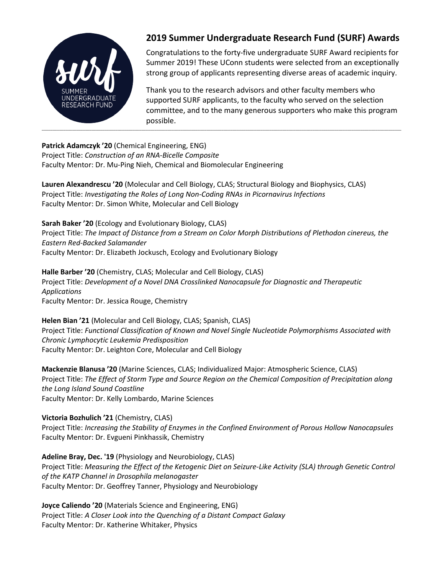

# **2019 Summer Undergraduate Research Fund (SURF) Awards**

Congratulations to the forty-five undergraduate SURF Award recipients for Summer 2019! These UConn students were selected from an exceptionally strong group of applicants representing diverse areas of academic inquiry.

Thank you to the research advisors and other faculty members who supported SURF applicants, to the faculty who served on the selection committee, and to the many generous supporters who make this program possible.

**Patrick Adamczyk '20** (Chemical Engineering, ENG)

Project Title: *Construction of an RNA-Bicelle Composite* Faculty Mentor: Dr. Mu-Ping Nieh, Chemical and Biomolecular Engineering

**Lauren Alexandrescu '20** (Molecular and Cell Biology, CLAS; Structural Biology and Biophysics, CLAS) Project Title: *Investigating the Roles of Long Non-Coding RNAs in Picornavirus Infections* Faculty Mentor: Dr. Simon White, Molecular and Cell Biology

**Sarah Baker '20** (Ecology and Evolutionary Biology, CLAS)

Project Title: *The Impact of Distance from a Stream on Color Morph Distributions of Plethodon cinereus, the Eastern Red-Backed Salamander* Faculty Mentor: Dr. Elizabeth Jockusch, Ecology and Evolutionary Biology

**Halle Barber '20** (Chemistry, CLAS; Molecular and Cell Biology, CLAS) Project Title: *Development of a Novel DNA Crosslinked Nanocapsule for Diagnostic and Therapeutic Applications* Faculty Mentor: Dr. Jessica Rouge, Chemistry

**Helen Bian '21** (Molecular and Cell Biology, CLAS; Spanish, CLAS) Project Title: *Functional Classification of Known and Novel Single Nucleotide Polymorphisms Associated with Chronic Lymphocytic Leukemia Predisposition* Faculty Mentor: Dr. Leighton Core, Molecular and Cell Biology

**Mackenzie Blanusa '20** (Marine Sciences, CLAS; Individualized Major: Atmospheric Science, CLAS) Project Title: *The Effect of Storm Type and Source Region on the Chemical Composition of Precipitation along the Long Island Sound Coastline* Faculty Mentor: Dr. Kelly Lombardo, Marine Sciences

**Victoria Bozhulich '21** (Chemistry, CLAS) Project Title: *Increasing the Stability of Enzymes in the Confined Environment of Porous Hollow Nanocapsules* Faculty Mentor: Dr. Evgueni Pinkhassik, Chemistry

**Adeline Bray, Dec. '19** (Physiology and Neurobiology, CLAS) Project Title: *Measuring the Effect of the Ketogenic Diet on Seizure-Like Activity (SLA) through Genetic Control of the KATP Channel in Drosophila melanogaster* Faculty Mentor: Dr. Geoffrey Tanner, Physiology and Neurobiology

**Joyce Caliendo '20** (Materials Science and Engineering, ENG) Project Title: *A Closer Look into the Quenching of a Distant Compact Galaxy* Faculty Mentor: Dr. Katherine Whitaker, Physics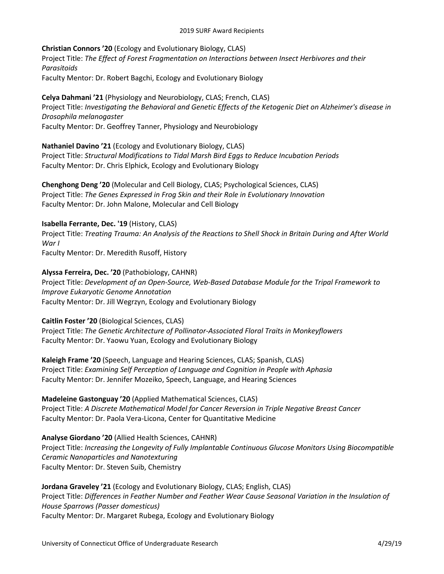**Christian Connors '20** (Ecology and Evolutionary Biology, CLAS) Project Title: *The Effect of Forest Fragmentation on Interactions between Insect Herbivores and their Parasitoids* Faculty Mentor: Dr. Robert Bagchi, Ecology and Evolutionary Biology

**Celya Dahmani '21** (Physiology and Neurobiology, CLAS; French, CLAS) Project Title: *Investigating the Behavioral and Genetic Effects of the Ketogenic Diet on Alzheimer's disease in Drosophila melanogaster* Faculty Mentor: Dr. Geoffrey Tanner, Physiology and Neurobiology

**Nathaniel Davino '21** (Ecology and Evolutionary Biology, CLAS) Project Title: *Structural Modifications to Tidal Marsh Bird Eggs to Reduce Incubation Periods* Faculty Mentor: Dr. Chris Elphick, Ecology and Evolutionary Biology

**Chenghong Deng '20** (Molecular and Cell Biology, CLAS; Psychological Sciences, CLAS) Project Title: *The Genes Expressed in Frog Skin and their Role in Evolutionary Innovation* Faculty Mentor: Dr. John Malone, Molecular and Cell Biology

# **Isabella Ferrante, Dec. '19** (History, CLAS)

Project Title: *Treating Trauma: An Analysis of the Reactions to Shell Shock in Britain During and After World War I* Faculty Mentor: Dr. Meredith Rusoff, History

**Alyssa Ferreira, Dec. '20** (Pathobiology, CAHNR) Project Title: *Development of an Open-Source, Web-Based Database Module for the Tripal Framework to Improve Eukaryotic Genome Annotation* Faculty Mentor: Dr. Jill Wegrzyn, Ecology and Evolutionary Biology

**Caitlin Foster '20** (Biological Sciences, CLAS) Project Title: *The Genetic Architecture of Pollinator-Associated Floral Traits in Monkeyflowers*

Faculty Mentor: Dr. Yaowu Yuan, Ecology and Evolutionary Biology **Kaleigh Frame '20** (Speech, Language and Hearing Sciences, CLAS; Spanish, CLAS)

Project Title: *Examining Self Perception of Language and Cognition in People with Aphasia* Faculty Mentor: Dr. Jennifer Mozeiko, Speech, Language, and Hearing Sciences

**Madeleine Gastonguay '20** (Applied Mathematical Sciences, CLAS) Project Title: *A Discrete Mathematical Model for Cancer Reversion in Triple Negative Breast Cancer* Faculty Mentor: Dr. Paola Vera-Licona, Center for Quantitative Medicine

**Analyse Giordano '20** (Allied Health Sciences, CAHNR) Project Title: *Increasing the Longevity of Fully Implantable Continuous Glucose Monitors Using Biocompatible Ceramic Nanoparticles and Nanotexturing* Faculty Mentor: Dr. Steven Suib, Chemistry

**Jordana Graveley '21** (Ecology and Evolutionary Biology, CLAS; English, CLAS) Project Title: *Differences in Feather Number and Feather Wear Cause Seasonal Variation in the Insulation of House Sparrows (Passer domesticus)* Faculty Mentor: Dr. Margaret Rubega, Ecology and Evolutionary Biology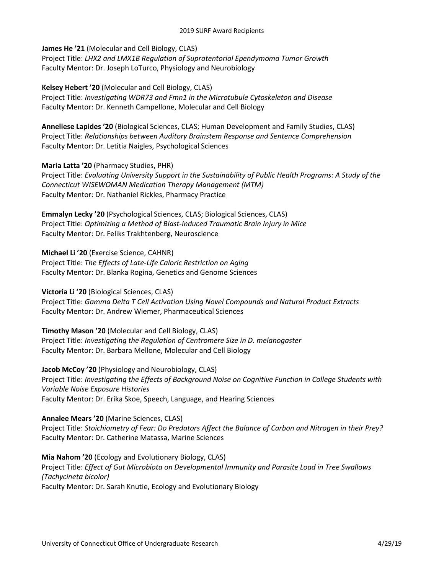**James He '21** (Molecular and Cell Biology, CLAS)

Project Title: *LHX2 and LMX1B Regulation of Supratentorial Ependymoma Tumor Growth* Faculty Mentor: Dr. Joseph LoTurco, Physiology and Neurobiology

**Kelsey Hebert '20** (Molecular and Cell Biology, CLAS) Project Title: *Investigating WDR73 and Fmn1 in the Microtubule Cytoskeleton and Disease* Faculty Mentor: Dr. Kenneth Campellone, Molecular and Cell Biology

**Anneliese Lapides '20** (Biological Sciences, CLAS; Human Development and Family Studies, CLAS) Project Title: *Relationships between Auditory Brainstem Response and Sentence Comprehension* Faculty Mentor: Dr. Letitia Naigles, Psychological Sciences

# **Maria Latta '20** (Pharmacy Studies, PHR)

Project Title: *Evaluating University Support in the Sustainability of Public Health Programs: A Study of the Connecticut WISEWOMAN Medication Therapy Management (MTM)* Faculty Mentor: Dr. Nathaniel Rickles, Pharmacy Practice

**Emmalyn Lecky '20** (Psychological Sciences, CLAS; Biological Sciences, CLAS) Project Title: *Optimizing a Method of Blast-Induced Traumatic Brain Injury in Mice* Faculty Mentor: Dr. Feliks Trakhtenberg, Neuroscience

**Michael Li '20** (Exercise Science, CAHNR)

Project Title: *The Effects of Late-Life Caloric Restriction on Aging* Faculty Mentor: Dr. Blanka Rogina, Genetics and Genome Sciences

# **Victoria Li '20** (Biological Sciences, CLAS)

Project Title: *Gamma Delta T Cell Activation Using Novel Compounds and Natural Product Extracts* Faculty Mentor: Dr. Andrew Wiemer, Pharmaceutical Sciences

**Timothy Mason '20** (Molecular and Cell Biology, CLAS) Project Title: *Investigating the Regulation of Centromere Size in D. melanogaster* Faculty Mentor: Dr. Barbara Mellone, Molecular and Cell Biology

**Jacob McCoy '20** (Physiology and Neurobiology, CLAS) Project Title: *Investigating the Effects of Background Noise on Cognitive Function in College Students with Variable Noise Exposure Histories* Faculty Mentor: Dr. Erika Skoe, Speech, Language, and Hearing Sciences

**Annalee Mears '20** (Marine Sciences, CLAS) Project Title: *Stoichiometry of Fear: Do Predators Affect the Balance of Carbon and Nitrogen in their Prey?* Faculty Mentor: Dr. Catherine Matassa, Marine Sciences

**Mia Nahom '20** (Ecology and Evolutionary Biology, CLAS) Project Title: *Effect of Gut Microbiota on Developmental Immunity and Parasite Load in Tree Swallows (Tachycineta bicolor)* Faculty Mentor: Dr. Sarah Knutie, Ecology and Evolutionary Biology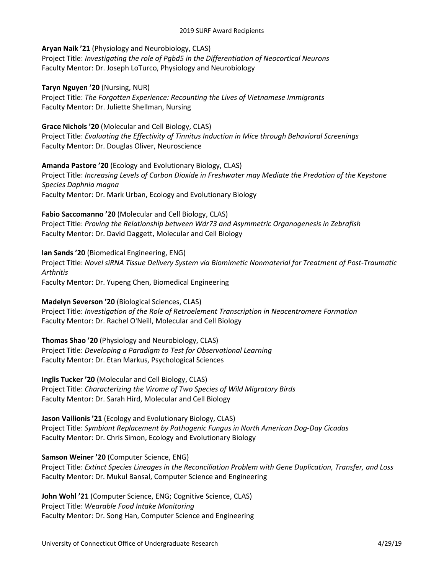## **Aryan Naik '21** (Physiology and Neurobiology, CLAS)

Project Title: *Investigating the role of Pgbd5 in the Differentiation of Neocortical Neurons* Faculty Mentor: Dr. Joseph LoTurco, Physiology and Neurobiology

### **Taryn Nguyen '20** (Nursing, NUR)

Project Title: *The Forgotten Experience: Recounting the Lives of Vietnamese Immigrants* Faculty Mentor: Dr. Juliette Shellman, Nursing

## **Grace Nichols '20** (Molecular and Cell Biology, CLAS)

Project Title: *Evaluating the Effectivity of Tinnitus Induction in Mice through Behavioral Screenings* Faculty Mentor: Dr. Douglas Oliver, Neuroscience

# **Amanda Pastore '20** (Ecology and Evolutionary Biology, CLAS)

Project Title: *Increasing Levels of Carbon Dioxide in Freshwater may Mediate the Predation of the Keystone Species Daphnia magna* Faculty Mentor: Dr. Mark Urban, Ecology and Evolutionary Biology

### **Fabio Saccomanno '20** (Molecular and Cell Biology, CLAS)

Project Title: *Proving the Relationship between Wdr73 and Asymmetric Organogenesis in Zebrafish* Faculty Mentor: Dr. David Daggett, Molecular and Cell Biology

# **Ian Sands '20** (Biomedical Engineering, ENG)

Project Title: *Novel siRNA Tissue Delivery System via Biomimetic Nonmaterial for Treatment of Post-Traumatic Arthritis*

Faculty Mentor: Dr. Yupeng Chen, Biomedical Engineering

# **Madelyn Severson '20** (Biological Sciences, CLAS)

Project Title: *Investigation of the Role of Retroelement Transcription in Neocentromere Formation* Faculty Mentor: Dr. Rachel O'Neill, Molecular and Cell Biology

**Thomas Shao '20** (Physiology and Neurobiology, CLAS) Project Title: *Developing a Paradigm to Test for Observational Learning* Faculty Mentor: Dr. Etan Markus, Psychological Sciences

**Inglis Tucker '20** (Molecular and Cell Biology, CLAS) Project Title: *Characterizing the Virome of Two Species of Wild Migratory Birds* Faculty Mentor: Dr. Sarah Hird, Molecular and Cell Biology

**Jason Vailionis '21** (Ecology and Evolutionary Biology, CLAS) Project Title: *Symbiont Replacement by Pathogenic Fungus in North American Dog-Day Cicadas* Faculty Mentor: Dr. Chris Simon, Ecology and Evolutionary Biology

# **Samson Weiner '20** (Computer Science, ENG)

Project Title: *Extinct Species Lineages in the Reconciliation Problem with Gene Duplication, Transfer, and Loss* Faculty Mentor: Dr. Mukul Bansal, Computer Science and Engineering

**John Wohl '21** (Computer Science, ENG; Cognitive Science, CLAS) Project Title: *Wearable Food Intake Monitoring* Faculty Mentor: Dr. Song Han, Computer Science and Engineering